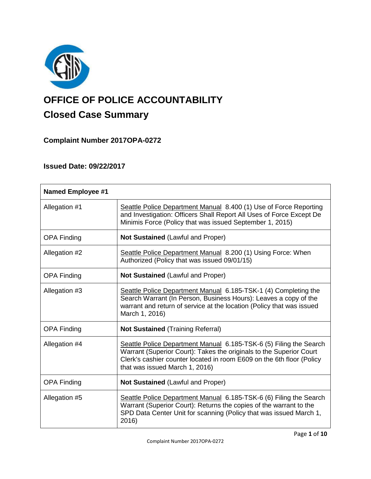

# **OFFICE OF POLICE ACCOUNTABILITY**

# **Closed Case Summary**

## **Complaint Number 2017OPA-0272**

## **Issued Date: 09/22/2017**

| <b>Named Employee #1</b> |                                                                                                                                                                                                                                                      |
|--------------------------|------------------------------------------------------------------------------------------------------------------------------------------------------------------------------------------------------------------------------------------------------|
| Allegation #1            | Seattle Police Department Manual 8.400 (1) Use of Force Reporting<br>and Investigation: Officers Shall Report All Uses of Force Except De<br>Minimis Force (Policy that was issued September 1, 2015)                                                |
| <b>OPA Finding</b>       | <b>Not Sustained (Lawful and Proper)</b>                                                                                                                                                                                                             |
| Allegation #2            | Seattle Police Department Manual 8.200 (1) Using Force: When<br>Authorized (Policy that was issued 09/01/15)                                                                                                                                         |
| <b>OPA Finding</b>       | <b>Not Sustained (Lawful and Proper)</b>                                                                                                                                                                                                             |
| Allegation #3            | Seattle Police Department Manual 6.185-TSK-1 (4) Completing the<br>Search Warrant (In Person, Business Hours): Leaves a copy of the<br>warrant and return of service at the location (Policy that was issued<br>March 1, 2016)                       |
| <b>OPA Finding</b>       | <b>Not Sustained (Training Referral)</b>                                                                                                                                                                                                             |
| Allegation #4            | Seattle Police Department Manual 6.185-TSK-6 (5) Filing the Search<br>Warrant (Superior Court): Takes the originals to the Superior Court<br>Clerk's cashier counter located in room E609 on the 6th floor (Policy<br>that was issued March 1, 2016) |
| <b>OPA Finding</b>       | <b>Not Sustained (Lawful and Proper)</b>                                                                                                                                                                                                             |
| Allegation #5            | Seattle Police Department Manual 6.185-TSK-6 (6) Filing the Search<br>Warrant (Superior Court): Returns the copies of the warrant to the<br>SPD Data Center Unit for scanning (Policy that was issued March 1,<br>2016)                              |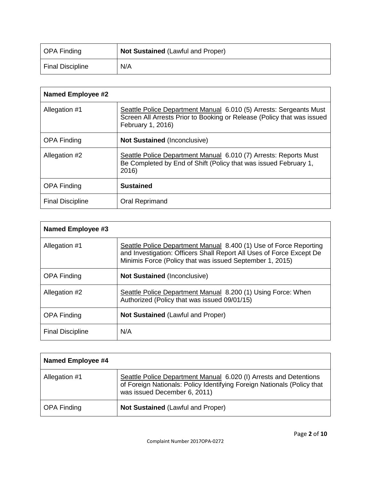| OPA Finding      | <b>Not Sustained (Lawful and Proper)</b> |
|------------------|------------------------------------------|
| Final Discipline | N/A                                      |

| <b>Named Employee #2</b> |                                                                                                                                                                   |
|--------------------------|-------------------------------------------------------------------------------------------------------------------------------------------------------------------|
| Allegation #1            | Seattle Police Department Manual 6.010 (5) Arrests: Sergeants Must<br>Screen All Arrests Prior to Booking or Release (Policy that was issued<br>February 1, 2016) |
| <b>OPA Finding</b>       | <b>Not Sustained (Inconclusive)</b>                                                                                                                               |
| Allegation #2            | Seattle Police Department Manual 6.010 (7) Arrests: Reports Must<br>Be Completed by End of Shift (Policy that was issued February 1,<br>2016)                     |
| <b>OPA Finding</b>       | <b>Sustained</b>                                                                                                                                                  |
| <b>Final Discipline</b>  | Oral Reprimand                                                                                                                                                    |

| <b>Named Employee #3</b> |                                                                                                                                                                                                       |
|--------------------------|-------------------------------------------------------------------------------------------------------------------------------------------------------------------------------------------------------|
| Allegation #1            | Seattle Police Department Manual 8.400 (1) Use of Force Reporting<br>and Investigation: Officers Shall Report All Uses of Force Except De<br>Minimis Force (Policy that was issued September 1, 2015) |
| <b>OPA Finding</b>       | <b>Not Sustained (Inconclusive)</b>                                                                                                                                                                   |
| Allegation #2            | Seattle Police Department Manual 8.200 (1) Using Force: When<br>Authorized (Policy that was issued 09/01/15)                                                                                          |
| <b>OPA Finding</b>       | <b>Not Sustained (Lawful and Proper)</b>                                                                                                                                                              |
| <b>Final Discipline</b>  | N/A                                                                                                                                                                                                   |

| Named Employee #4  |                                                                                                                                                                              |
|--------------------|------------------------------------------------------------------------------------------------------------------------------------------------------------------------------|
| Allegation #1      | Seattle Police Department Manual 6.020 (I) Arrests and Detentions<br>of Foreign Nationals: Policy Identifying Foreign Nationals (Policy that<br>was issued December 6, 2011) |
| <b>OPA Finding</b> | <b>Not Sustained (Lawful and Proper)</b>                                                                                                                                     |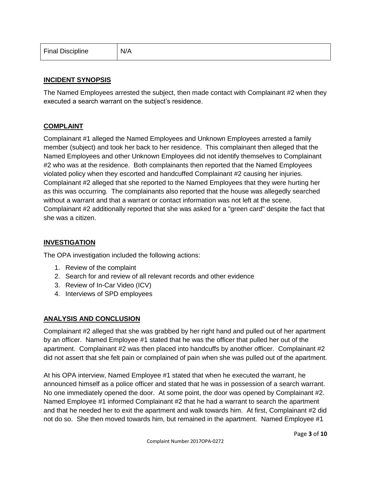| <b>Final Discipline</b> | N/A |
|-------------------------|-----|
|-------------------------|-----|

#### **INCIDENT SYNOPSIS**

The Named Employees arrested the subject, then made contact with Complainant #2 when they executed a search warrant on the subject's residence.

#### **COMPLAINT**

Complainant #1 alleged the Named Employees and Unknown Employees arrested a family member (subject) and took her back to her residence. This complainant then alleged that the Named Employees and other Unknown Employees did not identify themselves to Complainant #2 who was at the residence. Both complainants then reported that the Named Employees violated policy when they escorted and handcuffed Complainant #2 causing her injuries. Complainant #2 alleged that she reported to the Named Employees that they were hurting her as this was occurring. The complainants also reported that the house was allegedly searched without a warrant and that a warrant or contact information was not left at the scene. Complainant #2 additionally reported that she was asked for a "green card" despite the fact that she was a citizen.

#### **INVESTIGATION**

The OPA investigation included the following actions:

- 1. Review of the complaint
- 2. Search for and review of all relevant records and other evidence
- 3. Review of In-Car Video (ICV)
- 4. Interviews of SPD employees

#### **ANALYSIS AND CONCLUSION**

Complainant #2 alleged that she was grabbed by her right hand and pulled out of her apartment by an officer. Named Employee #1 stated that he was the officer that pulled her out of the apartment. Complainant #2 was then placed into handcuffs by another officer. Complainant #2 did not assert that she felt pain or complained of pain when she was pulled out of the apartment.

At his OPA interview, Named Employee #1 stated that when he executed the warrant, he announced himself as a police officer and stated that he was in possession of a search warrant. No one immediately opened the door. At some point, the door was opened by Complainant #2. Named Employee #1 informed Complainant #2 that he had a warrant to search the apartment and that he needed her to exit the apartment and walk towards him. At first, Complainant #2 did not do so. She then moved towards him, but remained in the apartment. Named Employee #1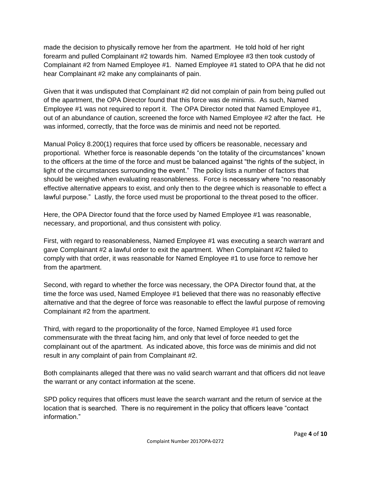made the decision to physically remove her from the apartment. He told hold of her right forearm and pulled Complainant #2 towards him. Named Employee #3 then took custody of Complainant #2 from Named Employee #1. Named Employee #1 stated to OPA that he did not hear Complainant #2 make any complainants of pain.

Given that it was undisputed that Complainant #2 did not complain of pain from being pulled out of the apartment, the OPA Director found that this force was de minimis. As such, Named Employee #1 was not required to report it. The OPA Director noted that Named Employee #1, out of an abundance of caution, screened the force with Named Employee #2 after the fact. He was informed, correctly, that the force was de minimis and need not be reported.

Manual Policy 8.200(1) requires that force used by officers be reasonable, necessary and proportional. Whether force is reasonable depends "on the totality of the circumstances" known to the officers at the time of the force and must be balanced against "the rights of the subject, in light of the circumstances surrounding the event." The policy lists a number of factors that should be weighed when evaluating reasonableness. Force is necessary where "no reasonably effective alternative appears to exist, and only then to the degree which is reasonable to effect a lawful purpose." Lastly, the force used must be proportional to the threat posed to the officer.

Here, the OPA Director found that the force used by Named Employee #1 was reasonable, necessary, and proportional, and thus consistent with policy.

First, with regard to reasonableness, Named Employee #1 was executing a search warrant and gave Complainant #2 a lawful order to exit the apartment. When Complainant #2 failed to comply with that order, it was reasonable for Named Employee #1 to use force to remove her from the apartment.

Second, with regard to whether the force was necessary, the OPA Director found that, at the time the force was used, Named Employee #1 believed that there was no reasonably effective alternative and that the degree of force was reasonable to effect the lawful purpose of removing Complainant #2 from the apartment.

Third, with regard to the proportionality of the force, Named Employee #1 used force commensurate with the threat facing him, and only that level of force needed to get the complainant out of the apartment. As indicated above, this force was de minimis and did not result in any complaint of pain from Complainant #2.

Both complainants alleged that there was no valid search warrant and that officers did not leave the warrant or any contact information at the scene.

SPD policy requires that officers must leave the search warrant and the return of service at the location that is searched. There is no requirement in the policy that officers leave "contact information."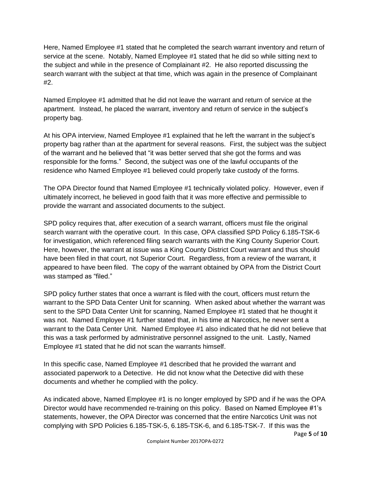Here, Named Employee #1 stated that he completed the search warrant inventory and return of service at the scene. Notably, Named Employee #1 stated that he did so while sitting next to the subject and while in the presence of Complainant #2. He also reported discussing the search warrant with the subject at that time, which was again in the presence of Complainant #2.

Named Employee #1 admitted that he did not leave the warrant and return of service at the apartment. Instead, he placed the warrant, inventory and return of service in the subject's property bag.

At his OPA interview, Named Employee #1 explained that he left the warrant in the subject's property bag rather than at the apartment for several reasons. First, the subject was the subject of the warrant and he believed that "it was better served that she got the forms and was responsible for the forms." Second, the subject was one of the lawful occupants of the residence who Named Employee #1 believed could properly take custody of the forms.

The OPA Director found that Named Employee #1 technically violated policy. However, even if ultimately incorrect, he believed in good faith that it was more effective and permissible to provide the warrant and associated documents to the subject.

SPD policy requires that, after execution of a search warrant, officers must file the original search warrant with the operative court. In this case, OPA classified SPD Policy 6.185-TSK-6 for investigation, which referenced filing search warrants with the King County Superior Court. Here, however, the warrant at issue was a King County District Court warrant and thus should have been filed in that court, not Superior Court. Regardless, from a review of the warrant, it appeared to have been filed. The copy of the warrant obtained by OPA from the District Court was stamped as "filed."

SPD policy further states that once a warrant is filed with the court, officers must return the warrant to the SPD Data Center Unit for scanning. When asked about whether the warrant was sent to the SPD Data Center Unit for scanning, Named Employee #1 stated that he thought it was not. Named Employee #1 further stated that, in his time at Narcotics, he never sent a warrant to the Data Center Unit. Named Employee #1 also indicated that he did not believe that this was a task performed by administrative personnel assigned to the unit. Lastly, Named Employee #1 stated that he did not scan the warrants himself.

In this specific case, Named Employee #1 described that he provided the warrant and associated paperwork to a Detective. He did not know what the Detective did with these documents and whether he complied with the policy.

As indicated above, Named Employee #1 is no longer employed by SPD and if he was the OPA Director would have recommended re-training on this policy. Based on Named Employee #1's statements, however, the OPA Director was concerned that the entire Narcotics Unit was not complying with SPD Policies 6.185-TSK-5, 6.185-TSK-6, and 6.185-TSK-7. If this was the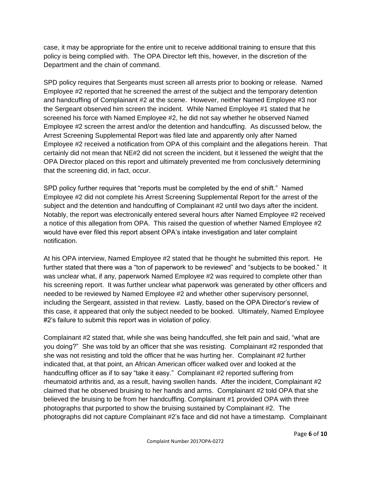case, it may be appropriate for the entire unit to receive additional training to ensure that this policy is being complied with. The OPA Director left this, however, in the discretion of the Department and the chain of command.

SPD policy requires that Sergeants must screen all arrests prior to booking or release. Named Employee #2 reported that he screened the arrest of the subject and the temporary detention and handcuffing of Complainant #2 at the scene. However, neither Named Employee #3 nor the Sergeant observed him screen the incident. While Named Employee #1 stated that he screened his force with Named Employee #2, he did not say whether he observed Named Employee #2 screen the arrest and/or the detention and handcuffing. As discussed below, the Arrest Screening Supplemental Report was filed late and apparently only after Named Employee #2 received a notification from OPA of this complaint and the allegations herein. That certainly did not mean that NE#2 did not screen the incident, but it lessened the weight that the OPA Director placed on this report and ultimately prevented me from conclusively determining that the screening did, in fact, occur.

SPD policy further requires that "reports must be completed by the end of shift." Named Employee #2 did not complete his Arrest Screening Supplemental Report for the arrest of the subject and the detention and handcuffing of Complainant #2 until two days after the incident. Notably, the report was electronically entered several hours after Named Employee #2 received a notice of this allegation from OPA. This raised the question of whether Named Employee #2 would have ever filed this report absent OPA's intake investigation and later complaint notification.

At his OPA interview, Named Employee #2 stated that he thought he submitted this report. He further stated that there was a "ton of paperwork to be reviewed" and "subjects to be booked." It was unclear what, if any, paperwork Named Employee #2 was required to complete other than his screening report. It was further unclear what paperwork was generated by other officers and needed to be reviewed by Named Employee #2 and whether other supervisory personnel, including the Sergeant, assisted in that review. Lastly, based on the OPA Director's review of this case, it appeared that only the subject needed to be booked. Ultimately, Named Employee #2's failure to submit this report was in violation of policy.

Complainant #2 stated that, while she was being handcuffed, she felt pain and said, "what are you doing?" She was told by an officer that she was resisting. Complainant #2 responded that she was not resisting and told the officer that he was hurting her. Complainant #2 further indicated that, at that point, an African American officer walked over and looked at the handcuffing officer as if to say "take it easy." Complainant #2 reported suffering from rheumatoid arthritis and, as a result, having swollen hands. After the incident, Complainant #2 claimed that he observed bruising to her hands and arms. Complainant #2 told OPA that she believed the bruising to be from her handcuffing. Complainant #1 provided OPA with three photographs that purported to show the bruising sustained by Complainant #2. The photographs did not capture Complainant #2's face and did not have a timestamp. Complainant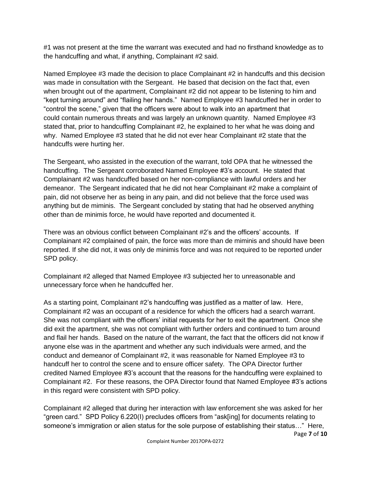#1 was not present at the time the warrant was executed and had no firsthand knowledge as to the handcuffing and what, if anything, Complainant #2 said.

Named Employee #3 made the decision to place Complainant #2 in handcuffs and this decision was made in consultation with the Sergeant. He based that decision on the fact that, even when brought out of the apartment, Complainant #2 did not appear to be listening to him and "kept turning around" and "flailing her hands." Named Employee #3 handcuffed her in order to "control the scene," given that the officers were about to walk into an apartment that could contain numerous threats and was largely an unknown quantity. Named Employee #3 stated that, prior to handcuffing Complainant #2, he explained to her what he was doing and why. Named Employee #3 stated that he did not ever hear Complainant #2 state that the handcuffs were hurting her.

The Sergeant, who assisted in the execution of the warrant, told OPA that he witnessed the handcuffing. The Sergeant corroborated Named Employee #3's account. He stated that Complainant #2 was handcuffed based on her non-compliance with lawful orders and her demeanor. The Sergeant indicated that he did not hear Complainant #2 make a complaint of pain, did not observe her as being in any pain, and did not believe that the force used was anything but de miminis. The Sergeant concluded by stating that had he observed anything other than de minimis force, he would have reported and documented it.

There was an obvious conflict between Complainant #2's and the officers' accounts. If Complainant #2 complained of pain, the force was more than de miminis and should have been reported. If she did not, it was only de minimis force and was not required to be reported under SPD policy.

Complainant #2 alleged that Named Employee #3 subjected her to unreasonable and unnecessary force when he handcuffed her.

As a starting point, Complainant #2's handcuffing was justified as a matter of law. Here, Complainant #2 was an occupant of a residence for which the officers had a search warrant. She was not compliant with the officers' initial requests for her to exit the apartment. Once she did exit the apartment, she was not compliant with further orders and continued to turn around and flail her hands. Based on the nature of the warrant, the fact that the officers did not know if anyone else was in the apartment and whether any such individuals were armed, and the conduct and demeanor of Complainant #2, it was reasonable for Named Employee #3 to handcuff her to control the scene and to ensure officer safety. The OPA Director further credited Named Employee #3's account that the reasons for the handcuffing were explained to Complainant #2. For these reasons, the OPA Director found that Named Employee #3's actions in this regard were consistent with SPD policy.

Page **7** of **10** Complainant #2 alleged that during her interaction with law enforcement she was asked for her "green card." SPD Policy 6.220(I) precludes officers from "ask[ing] for documents relating to someone's immigration or alien status for the sole purpose of establishing their status…" Here,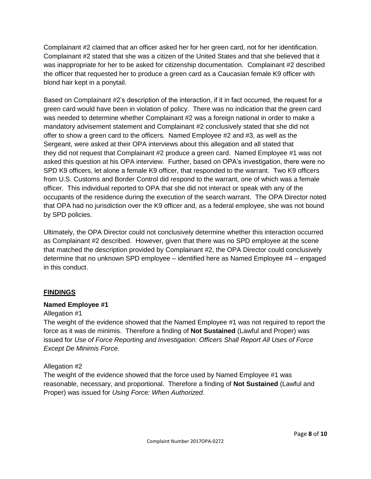Complainant #2 claimed that an officer asked her for her green card, not for her identification. Complainant #2 stated that she was a citizen of the United States and that she believed that it was inappropriate for her to be asked for citizenship documentation. Complainant #2 described the officer that requested her to produce a green card as a Caucasian female K9 officer with blond hair kept in a ponytail.

Based on Complainant #2's description of the interaction, if it in fact occurred, the request for a green card would have been in violation of policy. There was no indication that the green card was needed to determine whether Complainant #2 was a foreign national in order to make a mandatory advisement statement and Complainant #2 conclusively stated that she did not offer to show a green card to the officers. Named Employee #2 and #3, as well as the Sergeant, were asked at their OPA interviews about this allegation and all stated that they did not request that Complainant #2 produce a green card. Named Employee #1 was not asked this question at his OPA interview. Further, based on OPA's investigation, there were no SPD K9 officers, let alone a female K9 officer, that responded to the warrant. Two K9 officers from U.S. Customs and Border Control did respond to the warrant, one of which was a female officer. This individual reported to OPA that she did not interact or speak with any of the occupants of the residence during the execution of the search warrant. The OPA Director noted that OPA had no jurisdiction over the K9 officer and, as a federal employee, she was not bound by SPD policies.

Ultimately, the OPA Director could not conclusively determine whether this interaction occurred as Complainant #2 described. However, given that there was no SPD employee at the scene that matched the description provided by Complainant #2, the OPA Director could conclusively determine that no unknown SPD employee – identified here as Named Employee #4 – engaged in this conduct.

#### **FINDINGS**

#### **Named Employee #1**

#### Allegation #1

The weight of the evidence showed that the Named Employee #1 was not required to report the force as it was de minimis. Therefore a finding of **Not Sustained** (Lawful and Proper) was issued for *Use of Force Reporting and Investigation: Officers Shall Report All Uses of Force Except De Minimis Force.*

#### Allegation #2

The weight of the evidence showed that the force used by Named Employee #1 was reasonable, necessary, and proportional. Therefore a finding of **Not Sustained** (Lawful and Proper) was issued for *Using Force: When Authorized*.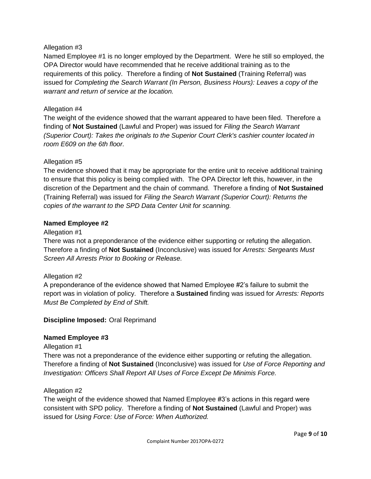#### Allegation #3

Named Employee #1 is no longer employed by the Department. Were he still so employed, the OPA Director would have recommended that he receive additional training as to the requirements of this policy. Therefore a finding of **Not Sustained** (Training Referral) was issued for *Completing the Search Warrant (In Person, Business Hours): Leaves a copy of the warrant and return of service at the location.*

#### Allegation #4

The weight of the evidence showed that the warrant appeared to have been filed. Therefore a finding of **Not Sustained** (Lawful and Proper) was issued for *Filing the Search Warrant (Superior Court): Takes the originals to the Superior Court Clerk's cashier counter located in room E609 on the 6th floor.*

#### Allegation #5

The evidence showed that it may be appropriate for the entire unit to receive additional training to ensure that this policy is being complied with. The OPA Director left this, however, in the discretion of the Department and the chain of command. Therefore a finding of **Not Sustained**  (Training Referral) was issued for *Filing the Search Warrant (Superior Court): Returns the copies of the warrant to the SPD Data Center Unit for scanning.*

#### **Named Employee #2**

#### Allegation #1

There was not a preponderance of the evidence either supporting or refuting the allegation. Therefore a finding of **Not Sustained** (Inconclusive) was issued for *Arrests: Sergeants Must Screen All Arrests Prior to Booking or Release.*

#### Allegation #2

A preponderance of the evidence showed that Named Employee #2's failure to submit the report was in violation of policy. Therefore a **Sustained** finding was issued for *Arrests: Reports Must Be Completed by End of Shift.*

#### **Discipline Imposed:** Oral Reprimand

#### **Named Employee #3**

Allegation #1

There was not a preponderance of the evidence either supporting or refuting the allegation. Therefore a finding of **Not Sustained** (Inconclusive) was issued for *Use of Force Reporting and Investigation: Officers Shall Report All Uses of Force Except De Minimis Force.*

#### Allegation #2

The weight of the evidence showed that Named Employee #3's actions in this regard were consistent with SPD policy. Therefore a finding of **Not Sustained** (Lawful and Proper) was issued for *Using Force: Use of Force: When Authorized.*